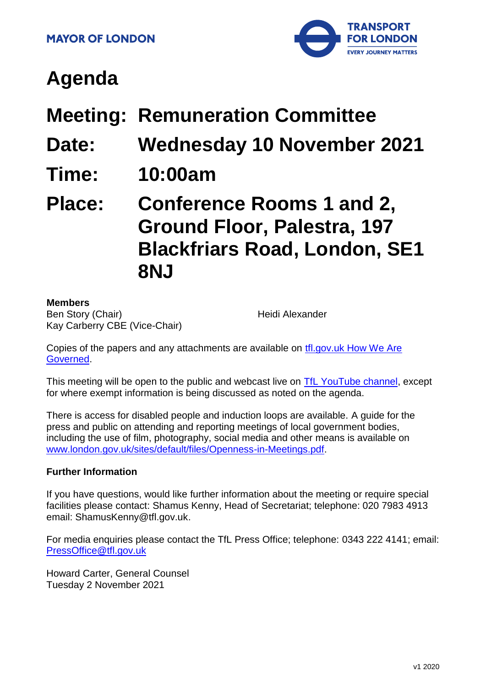

# **Agenda**

- **Meeting: Remuneration Committee**
- **Date: Wednesday 10 November 2021**
- **Time: 10:00am**

**Place: Conference Rooms 1 and 2, Ground Floor, Palestra, 197 Blackfriars Road, London, SE1 8NJ**

#### **Members**

Ben Story (Chair) Kay Carberry CBE (Vice-Chair) Heidi Alexander

Copies of the papers and any attachments are available on [tfl.gov.uk How We Are](http://www.tfl.gov.uk/corporate/about-tfl/how-we-work/how-we-are-governed)  [Governed.](http://www.tfl.gov.uk/corporate/about-tfl/how-we-work/how-we-are-governed)

This meeting will be open to the public and webcast live on [TfL YouTube channel,](https://www.youtube.com/watch?v=_2U9viPQ9WE&list=PLtnlusA0Zoggk4qvN68OcnD9k_7B8cY_d) except for where exempt information is being discussed as noted on the agenda.

There is access for disabled people and induction loops are available. A guide for the press and public on attending and reporting meetings of local government bodies, including the use of film, photography, social media and other means is available on [www.london.gov.uk/sites/default/files/Openness-in-Meetings.pdf.](http://www.london.gov.uk/sites/default/files/Openness-in-Meetings.pdf)

#### **Further Information**

If you have questions, would like further information about the meeting or require special facilities please contact: Shamus Kenny, Head of Secretariat; telephone: 020 7983 4913 email: ShamusKenny@tfl.gov.uk.

For media enquiries please contact the TfL Press Office; telephone: 0343 222 4141; email: [PressOffice@tfl.gov.uk](mailto:PressOffice@tfl.gov.uk)

Howard Carter, General Counsel Tuesday 2 November 2021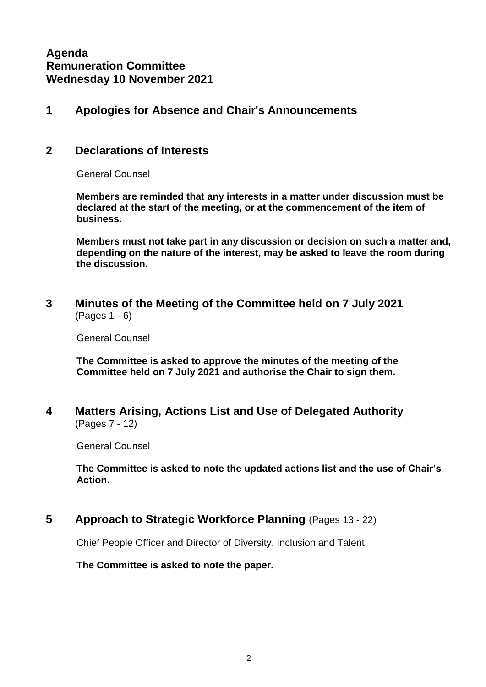**Agenda Remuneration Committee Wednesday 10 November 2021**

## **1 Apologies for Absence and Chair's Announcements**

#### **2 Declarations of Interests**

General Counsel

**Members are reminded that any interests in a matter under discussion must be declared at the start of the meeting, or at the commencement of the item of business.** 

**Members must not take part in any discussion or decision on such a matter and, depending on the nature of the interest, may be asked to leave the room during the discussion.**

**3 Minutes of the Meeting of the Committee held on 7 July 2021** (Pages 1 - 6)

General Counsel

**The Committee is asked to approve the minutes of the meeting of the Committee held on 7 July 2021 and authorise the Chair to sign them.**

**4 Matters Arising, Actions List and Use of Delegated Authority** (Pages 7 - 12)

General Counsel

**The Committee is asked to note the updated actions list and the use of Chair's Action.**

**5 Approach to Strategic Workforce Planning** (Pages 13 - 22)

Chief People Officer and Director of Diversity, Inclusion and Talent

**The Committee is asked to note the paper.**